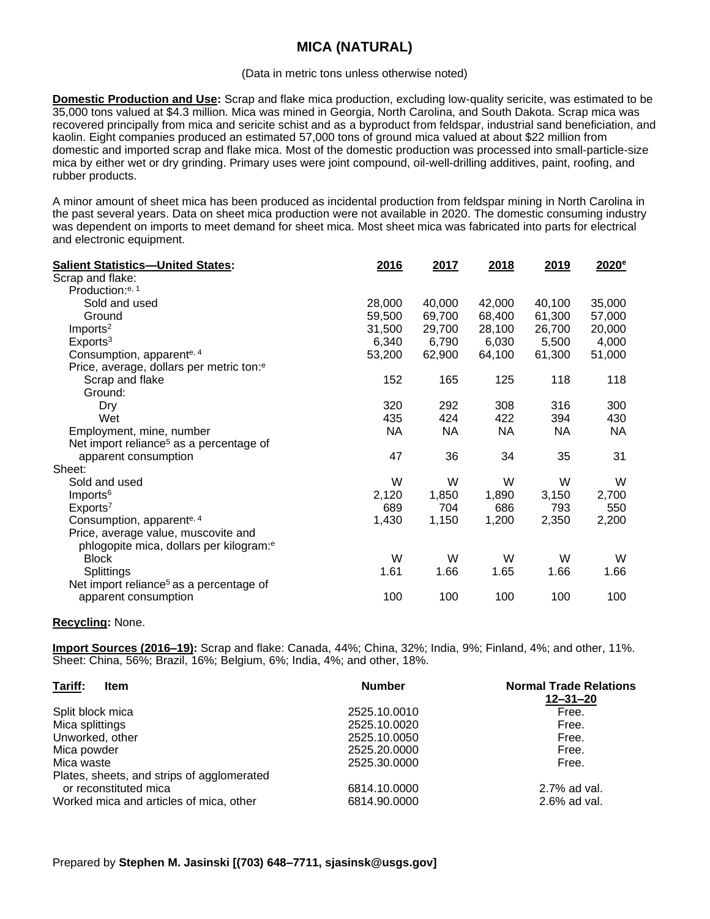## **MICA (NATURAL)**

#### (Data in metric tons unless otherwise noted)

**Domestic Production and Use:** Scrap and flake mica production, excluding low-quality sericite, was estimated to be 35,000 tons valued at \$4.3 million. Mica was mined in Georgia, North Carolina, and South Dakota. Scrap mica was recovered principally from mica and sericite schist and as a byproduct from feldspar, industrial sand beneficiation, and kaolin. Eight companies produced an estimated 57,000 tons of ground mica valued at about \$22 million from domestic and imported scrap and flake mica. Most of the domestic production was processed into small-particle-size mica by either wet or dry grinding. Primary uses were joint compound, oil-well-drilling additives, paint, roofing, and rubber products.

A minor amount of sheet mica has been produced as incidental production from feldspar mining in North Carolina in the past several years. Data on sheet mica production were not available in 2020. The domestic consuming industry was dependent on imports to meet demand for sheet mica. Most sheet mica was fabricated into parts for electrical and electronic equipment.

| <b>Salient Statistics-United States:</b>             | 2016      | 2017      | 2018      | 2019      | 2020 <sup>e</sup> |
|------------------------------------------------------|-----------|-----------|-----------|-----------|-------------------|
| Scrap and flake:                                     |           |           |           |           |                   |
| Production: <sup>e, 1</sup>                          |           |           |           |           |                   |
| Sold and used                                        | 28,000    | 40,000    | 42,000    | 40,100    | 35,000            |
| Ground                                               | 59,500    | 69,700    | 68,400    | 61,300    | 57,000            |
| Imports <sup>2</sup>                                 | 31,500    | 29,700    | 28,100    | 26,700    | 20,000            |
| Exports <sup>3</sup>                                 | 6,340     | 6,790     | 6,030     | 5,500     | 4,000             |
| Consumption, apparente, 4                            | 53,200    | 62,900    | 64,100    | 61,300    | 51,000            |
| Price, average, dollars per metric ton: <sup>e</sup> |           |           |           |           |                   |
| Scrap and flake                                      | 152       | 165       | 125       | 118       | 118               |
| Ground:                                              |           |           |           |           |                   |
| Dry                                                  | 320       | 292       | 308       | 316       | 300               |
| Wet                                                  | 435       | 424       | 422       | 394       | 430               |
| Employment, mine, number                             | <b>NA</b> | <b>NA</b> | <b>NA</b> | <b>NA</b> | NA                |
| Net import reliance <sup>5</sup> as a percentage of  |           |           |           |           |                   |
| apparent consumption                                 | 47        | 36        | 34        | 35        | 31                |
| Sheet:                                               |           |           |           |           |                   |
| Sold and used                                        | W         | W         | W         | W         | W                 |
| Imports <sup>6</sup>                                 | 2,120     | 1,850     | 1,890     | 3,150     | 2,700             |
| Exports <sup>7</sup>                                 | 689       | 704       | 686       | 793       | 550               |
| Consumption, apparente, 4                            | 1,430     | 1,150     | 1,200     | 2,350     | 2,200             |
| Price, average value, muscovite and                  |           |           |           |           |                   |
| phlogopite mica, dollars per kilogram: <sup>e</sup>  |           |           |           |           |                   |
| <b>Block</b>                                         | W         | W         | W         | W         | W                 |
| Splittings                                           | 1.61      | 1.66      | 1.65      | 1.66      | 1.66              |
| Net import reliance <sup>5</sup> as a percentage of  |           |           |           |           |                   |
| apparent consumption                                 | 100       | 100       | 100       | 100       | 100               |
|                                                      |           |           |           |           |                   |

### **Recycling:** None.

**Import Sources (2016–19):** Scrap and flake: Canada, 44%; China, 32%; India, 9%; Finland, 4%; and other, 11%. Sheet: China, 56%; Brazil, 16%; Belgium, 6%; India, 4%; and other, 18%.

| Tariff:<br><b>Item</b>                                              | <b>Number</b> | <b>Normal Trade Relations</b><br>$12 - 31 - 20$ |  |  |
|---------------------------------------------------------------------|---------------|-------------------------------------------------|--|--|
| Split block mica                                                    | 2525.10.0010  | Free.                                           |  |  |
| Mica splittings                                                     | 2525.10.0020  | Free.                                           |  |  |
| Unworked, other                                                     | 2525.10.0050  | Free.                                           |  |  |
| Mica powder                                                         | 2525.20.0000  | Free.                                           |  |  |
| Mica waste                                                          | 2525.30.0000  | Free.                                           |  |  |
| Plates, sheets, and strips of agglomerated<br>or reconstituted mica | 6814.10.0000  | 2.7% ad val.                                    |  |  |
| Worked mica and articles of mica, other                             | 6814.90.0000  | 2.6% ad val.                                    |  |  |